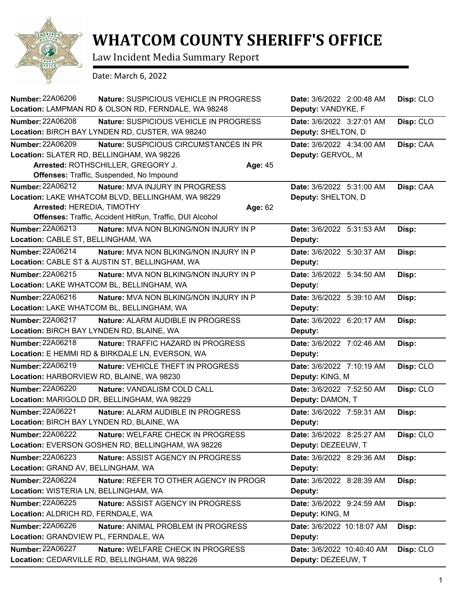

## **WHATCOM COUNTY SHERIFF'S OFFICE**

Law Incident Media Summary Report

Date: March 6, 2022

| <b>Number: 22A06206</b><br>Nature: SUSPICIOUS VEHICLE IN PROGRESS        | Date: 3/6/2022 2:00:48 AM  | Disp: CLO |
|--------------------------------------------------------------------------|----------------------------|-----------|
| Location: LAMPMAN RD & OLSON RD, FERNDALE, WA 98248                      | Deputy: VANDYKE, F         |           |
| <b>Number: 22A06208</b><br>Nature: SUSPICIOUS VEHICLE IN PROGRESS        | Date: 3/6/2022 3:27:01 AM  | Disp: CLO |
| Location: BIRCH BAY LYNDEN RD, CUSTER, WA 98240                          | Deputy: SHELTON, D         |           |
| <b>Number: 22A06209</b><br>Nature: SUSPICIOUS CIRCUMSTANCES IN PR        | Date: 3/6/2022 4:34:00 AM  | Disp: CAA |
| Location: SLATER RD, BELLINGHAM, WA 98226                                | Deputy: GERVOL, M          |           |
| Arrested: ROTHSCHILLER, GREGORY J.<br>Age: 45                            |                            |           |
| Offenses: Traffic, Suspended, No Impound                                 |                            |           |
| <b>Number: 22A06212</b><br>Nature: MVA INJURY IN PROGRESS                | Date: 3/6/2022 5:31:00 AM  | Disp: CAA |
| Location: LAKE WHATCOM BLVD, BELLINGHAM, WA 98229                        | Deputy: SHELTON, D         |           |
| Arrested: HEREDIA, TIMOTHY<br>Age: 62                                    |                            |           |
| Offenses: Traffic, Accident HitRun, Traffic, DUI Alcohol                 |                            |           |
| <b>Number: 22A06213</b><br><b>Nature: MVA NON BLKING/NON INJURY IN P</b> | Date: 3/6/2022 5:31:53 AM  | Disp:     |
| Location: CABLE ST, BELLINGHAM, WA                                       | Deputy:                    |           |
| Number: 22A06214<br><b>Nature: MVA NON BLKING/NON INJURY IN P</b>        | Date: 3/6/2022 5:30:37 AM  | Disp:     |
| Location: CABLE ST & AUSTIN ST, BELLINGHAM, WA                           | Deputy:                    |           |
| <b>Number: 22A06215</b><br>Nature: MVA NON BLKING/NON INJURY IN P        | Date: 3/6/2022 5:34:50 AM  | Disp:     |
| Location: LAKE WHATCOM BL, BELLINGHAM, WA                                | Deputy:                    |           |
| Number: 22A06216<br>Nature: MVA NON BLKING/NON INJURY IN P               | Date: 3/6/2022 5:39:10 AM  | Disp:     |
| Location: LAKE WHATCOM BL, BELLINGHAM, WA                                | Deputy:                    |           |
| <b>Number: 22A06217</b><br>Nature: ALARM AUDIBLE IN PROGRESS             | Date: 3/6/2022 6:20:17 AM  | Disp:     |
| Location: BIRCH BAY LYNDEN RD, BLAINE, WA                                | Deputy:                    |           |
| <b>Number: 22A06218</b><br>Nature: TRAFFIC HAZARD IN PROGRESS            | Date: 3/6/2022 7:02:46 AM  | Disp:     |
| Location: E HEMMI RD & BIRKDALE LN, EVERSON, WA                          | Deputy:                    |           |
| Number: 22A06219<br>Nature: VEHICLE THEFT IN PROGRESS                    | Date: 3/6/2022 7:10:19 AM  | Disp: CLO |
| Location: HARBORVIEW RD, BLAINE, WA 98230                                | Deputy: KING, M            |           |
| <b>Number: 22A06220</b><br>Nature: VANDALISM COLD CALL                   | Date: 3/6/2022 7:52:50 AM  | Disp: CLO |
| Location: MARIGOLD DR, BELLINGHAM, WA 98229                              | Deputy: DAMON, T           |           |
| <b>Number: 22A06221</b><br>Nature: ALARM AUDIBLE IN PROGRESS             | Date: 3/6/2022 7:59:31 AM  | Disp:     |
| Location: BIRCH BAY LYNDEN RD, BLAINE, WA                                | Deputy:                    |           |
| <b>Number: 22A06222</b><br>Nature: WELFARE CHECK IN PROGRESS             | Date: 3/6/2022 8:25:27 AM  | Disp: CLO |
| Location: EVERSON GOSHEN RD, BELLINGHAM, WA 98226                        | Deputy: DEZEEUW, T         |           |
| <b>Number: 22A06223</b><br>Nature: ASSIST AGENCY IN PROGRESS             | Date: 3/6/2022 8:29:36 AM  | Disp:     |
| Location: GRAND AV, BELLINGHAM, WA                                       | Deputy:                    |           |
| <b>Number: 22A06224</b><br>Nature: REFER TO OTHER AGENCY IN PROGR        | Date: 3/6/2022 8:28:39 AM  | Disp:     |
| Location: WISTERIA LN, BELLINGHAM, WA                                    | Deputy:                    |           |
| <b>Number: 22A06225</b><br><b>Nature: ASSIST AGENCY IN PROGRESS</b>      | Date: 3/6/2022 9:24:59 AM  | Disp:     |
| Location: ALDRICH RD, FERNDALE, WA                                       | Deputy: KING, M            |           |
| <b>Number: 22A06226</b><br>Nature: ANIMAL PROBLEM IN PROGRESS            | Date: 3/6/2022 10:18:07 AM | Disp:     |
| Location: GRANDVIEW PL, FERNDALE, WA                                     | Deputy:                    |           |
| <b>Number: 22A06227</b><br>Nature: WELFARE CHECK IN PROGRESS             | Date: 3/6/2022 10:40:40 AM | Disp: CLO |
| Location: CEDARVILLE RD, BELLINGHAM, WA 98226                            | Deputy: DEZEEUW, T         |           |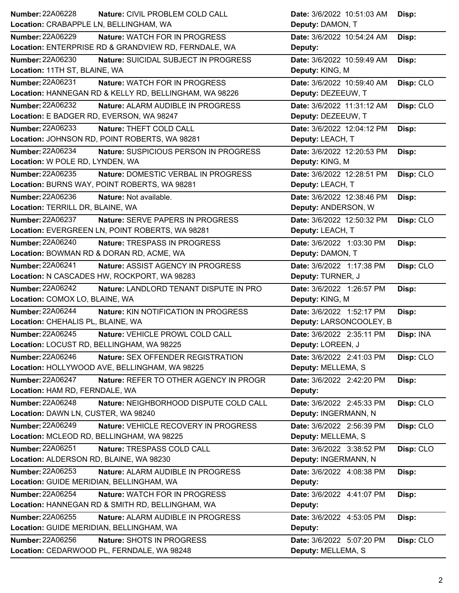| <b>Number: 22A06228</b><br>Nature: CIVIL PROBLEM COLD CALL                    | Date: 3/6/2022 10:51:03 AM<br>Disp:                          |
|-------------------------------------------------------------------------------|--------------------------------------------------------------|
| Location: CRABAPPLE LN, BELLINGHAM, WA                                        | Deputy: DAMON, T                                             |
| <b>Number: 22A06229</b><br>Nature: WATCH FOR IN PROGRESS                      | Date: 3/6/2022 10:54:24 AM<br>Disp:                          |
| Location: ENTERPRISE RD & GRANDVIEW RD, FERNDALE, WA                          | Deputy:                                                      |
| <b>Number: 22A06230</b><br>Nature: SUICIDAL SUBJECT IN PROGRESS               | Date: 3/6/2022 10:59:49 AM<br>Disp:                          |
| Location: 11TH ST, BLAINE, WA                                                 | Deputy: KING, M                                              |
| <b>Number: 22A06231</b><br>Nature: WATCH FOR IN PROGRESS                      | Date: 3/6/2022 10:59:40 AM<br>Disp: CLO                      |
| Location: HANNEGAN RD & KELLY RD, BELLINGHAM, WA 98226                        | Deputy: DEZEEUW, T                                           |
| <b>Number: 22A06232</b><br>Nature: ALARM AUDIBLE IN PROGRESS                  | Date: 3/6/2022 11:31:12 AM<br>Disp: CLO                      |
| Location: E BADGER RD, EVERSON, WA 98247                                      | Deputy: DEZEEUW, T                                           |
| Number: 22A06233<br>Nature: THEFT COLD CALL                                   | Date: 3/6/2022 12:04:12 PM<br>Disp:                          |
| Location: JOHNSON RD, POINT ROBERTS, WA 98281                                 | Deputy: LEACH, T                                             |
| <b>Number: 22A06234</b><br>Nature: SUSPICIOUS PERSON IN PROGRESS              | Date: 3/6/2022 12:20:53 PM<br>Disp:                          |
| Location: W POLE RD, LYNDEN, WA                                               | Deputy: KING, M                                              |
| Number: 22A06235<br>Nature: DOMESTIC VERBAL IN PROGRESS                       | Date: 3/6/2022 12:28:51 PM<br>Disp: CLO                      |
| Location: BURNS WAY, POINT ROBERTS, WA 98281                                  | Deputy: LEACH, T                                             |
| <b>Number: 22A06236</b><br>Nature: Not available.                             | Date: 3/6/2022 12:38:46 PM<br>Disp:                          |
| Location: TERRILL DR, BLAINE, WA                                              | Deputy: ANDERSON, W                                          |
| Number: 22A06237<br>Nature: SERVE PAPERS IN PROGRESS                          | Date: 3/6/2022 12:50:32 PM<br>Disp: CLO                      |
| Location: EVERGREEN LN, POINT ROBERTS, WA 98281                               | Deputy: LEACH, T                                             |
| <b>Number: 22A06240</b><br>Nature: TRESPASS IN PROGRESS                       | Date: 3/6/2022 1:03:30 PM<br>Disp:                           |
| Location: BOWMAN RD & DORAN RD, ACME, WA                                      | Deputy: DAMON, T                                             |
| Number: 22A06241<br>Nature: ASSIST AGENCY IN PROGRESS                         | Date: 3/6/2022 1:17:38 PM<br>Disp: CLO                       |
| Location: N CASCADES HW, ROCKPORT, WA 98283                                   | Deputy: TURNER, J                                            |
| <b>Number: 22A06242</b><br>Nature: LANDLORD TENANT DISPUTE IN PRO             | Date: 3/6/2022 1:26:57 PM<br>Disp:                           |
| Location: COMOX LO, BLAINE, WA                                                | Deputy: KING, M                                              |
| <b>Number: 22A06244</b><br>Nature: KIN NOTIFICATION IN PROGRESS               | Date: 3/6/2022 1:52:17 PM<br>Disp:                           |
| Location: CHEHALIS PL, BLAINE, WA                                             | Deputy: LARSONCOOLEY, B                                      |
|                                                                               |                                                              |
| Number: 22A06245<br>Nature: VEHICLE PROWL COLD CALL                           |                                                              |
| Location: LOCUST RD, BELLINGHAM, WA 98225                                     | Date: 3/6/2022 2:35:11 PM<br>Disp: INA<br>Deputy: LOREEN, J  |
| Number: 22A06246<br>Nature: SEX OFFENDER REGISTRATION                         |                                                              |
| Location: HOLLYWOOD AVE, BELLINGHAM, WA 98225                                 | Date: 3/6/2022 2:41:03 PM<br>Disp: CLO<br>Deputy: MELLEMA, S |
| Number: 22A06247                                                              |                                                              |
| Nature: REFER TO OTHER AGENCY IN PROGR<br>Location: HAM RD, FERNDALE, WA      | Date: 3/6/2022 2:42:20 PM<br>Disp:<br>Deputy:                |
| <b>Number: 22A06248</b><br>Nature: NEIGHBORHOOD DISPUTE COLD CALL             | Date: 3/6/2022 2:45:33 PM                                    |
| Location: DAWN LN, CUSTER, WA 98240                                           | Disp: CLO<br>Deputy: INGERMANN, N                            |
| Nature: VEHICLE RECOVERY IN PROGRESS                                          | Date: 3/6/2022 2:56:39 PM                                    |
| <b>Number: 22A06249</b><br>Location: MCLEOD RD, BELLINGHAM, WA 98225          | Disp: CLO<br>Deputy: MELLEMA, S                              |
| Number: 22A06251<br>Nature: TRESPASS COLD CALL                                | Date: 3/6/2022 3:38:52 PM                                    |
| Location: ALDERSON RD, BLAINE, WA 98230                                       | Disp: CLO<br>Deputy: INGERMANN, N                            |
| Nature: ALARM AUDIBLE IN PROGRESS                                             | Date: 3/6/2022 4:08:38 PM                                    |
| Number: 22A06253<br>Location: GUIDE MERIDIAN, BELLINGHAM, WA                  | Disp:<br>Deputy:                                             |
| <b>Number: 22A06254</b><br>Nature: WATCH FOR IN PROGRESS                      | Date: 3/6/2022 4:41:07 PM                                    |
| Location: HANNEGAN RD & SMITH RD, BELLINGHAM, WA                              | Disp:<br>Deputy:                                             |
| Number: 22A06255                                                              |                                                              |
| Nature: ALARM AUDIBLE IN PROGRESS<br>Location: GUIDE MERIDIAN, BELLINGHAM, WA | Date: 3/6/2022 4:53:05 PM<br>Disp:<br>Deputy:                |
| <b>Number: 22A06256</b><br>Nature: SHOTS IN PROGRESS                          | Date: 3/6/2022 5:07:20 PM                                    |
| Location: CEDARWOOD PL, FERNDALE, WA 98248                                    | Disp: CLO<br>Deputy: MELLEMA, S                              |